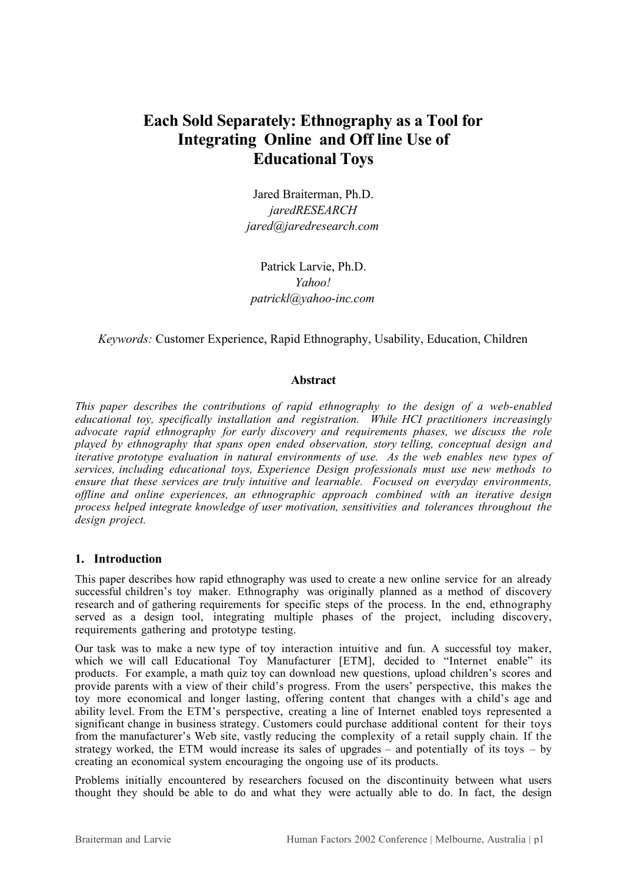# **Each Sold Separately: Ethnography as a Tool for Integrating Online and Off line Use of Educational Toys**

Jared Braiterman, Ph.D. *jaredRESEARCH jared@jaredresearch.com*

Patrick Larvie, Ph.D. *Yahoo! patrickl@yahoo-inc.com*

## *Keywords:* Customer Experience, Rapid Ethnography, Usability, Education, Children

### **Abstract**

*This paper describes the contributions of rapid ethnography to the design of a web-enabled educational toy, specifically installation and registration. While HCI practitioners increasingly advocate rapid ethnography for early discovery and requirements phases, we discuss the role played by ethnography that spans open ended observation, story telling, conceptual design and iterative prototype evaluation in natural environments of use. As the web enables new types of services, including educational toys, Experience Design professionals must use new methods to ensure that these services are truly intuitive and learnable. Focused on everyday environments, offline and online experiences, an ethnographic approach combined with an iterative design process helped integrate knowledge of user motivation, sensitivities and tolerances throughout the design project.*

## **1. Introduction**

This paper describes how rapid ethnography was used to create a new online service for an already successful children's toy maker. Ethnography was originally planned as a method of discovery research and of gathering requirements for specific steps of the process. In the end, ethnography served as a design tool, integrating multiple phases of the project, including discovery, requirements gathering and prototype testing.

Our task was to make a new type of toy interaction intuitive and fun. A successful toy maker, which we will call Educational Toy Manufacturer [ETM], decided to "Internet enable" its products. For example, a math quiz toy can download new questions, upload children's scores and provide parents with a view of their child's progress. From the users' perspective, this makes the toy more economical and longer lasting, offering content that changes with a child's age and ability level. From the ETM's perspective, creating a line of Internet enabled toys represented a significant change in business strategy. Customers could purchase additional content for their toys from the manufacturer's Web site, vastly reducing the complexity of a retail supply chain. If the strategy worked, the ETM would increase its sales of upgrades – and potentially of its toys – by creating an economical system encouraging the ongoing use of its products.

Problems initially encountered by researchers focused on the discontinuity between what users thought they should be able to do and what they were actually able to do. In fact, the design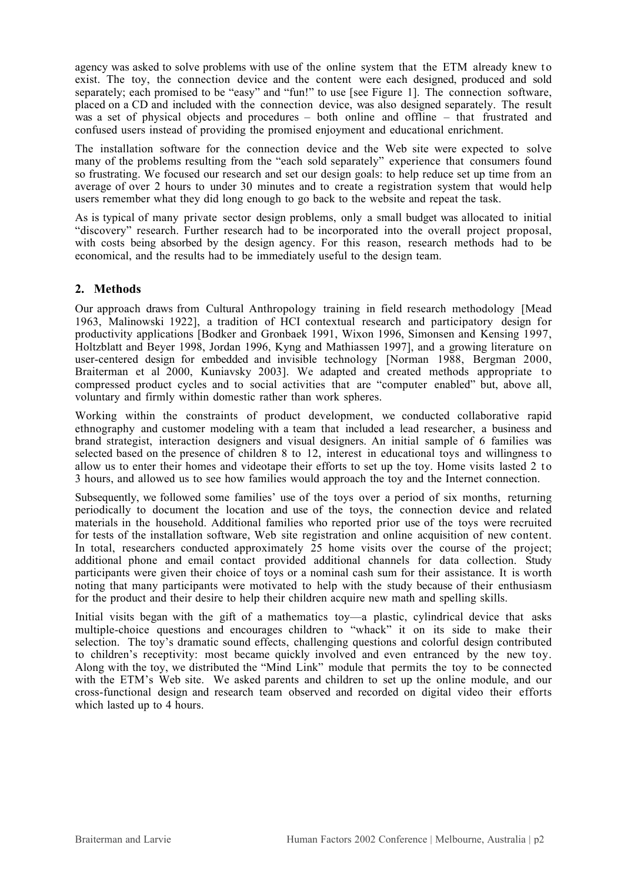agency was asked to solve problems with use of the online system that the ETM already knew to exist. The toy, the connection device and the content were each designed, produced and sold separately; each promised to be "easy" and "fun!" to use [see Figure 1]. The connection software, placed on a CD and included with the connection device, was also designed separately. The result was a set of physical objects and procedures – both online and offline – that frustrated and confused users instead of providing the promised enjoyment and educational enrichment.

The installation software for the connection device and the Web site were expected to solve many of the problems resulting from the "each sold separately" experience that consumers found so frustrating. We focused our research and set our design goals: to help reduce set up time from an average of over 2 hours to under 30 minutes and to create a registration system that would help users remember what they did long enough to go back to the website and repeat the task.

As is typical of many private sector design problems, only a small budget was allocated to initial "discovery" research. Further research had to be incorporated into the overall project proposal, with costs being absorbed by the design agency. For this reason, research methods had to be economical, and the results had to be immediately useful to the design team.

## **2. Methods**

Our approach draws from Cultural Anthropology training in field research methodology [Mead 1963, Malinowski 1922], a tradition of HCI contextual research and participatory design for productivity applications [Bodker and Gronbaek 1991, Wixon 1996, Simonsen and Kensing 1997, Holtzblatt and Beyer 1998, Jordan 1996, Kyng and Mathiassen 1997], and a growing literature on user-centered design for embedded and invisible technology [Norman 1988, Bergman 2000, Braiterman et al 2000, Kuniavsky 2003]. We adapted and created methods appropriate to compressed product cycles and to social activities that are "computer enabled" but, above all, voluntary and firmly within domestic rather than work spheres.

Working within the constraints of product development, we conducted collaborative rapid ethnography and customer modeling with a team that included a lead researcher, a business and brand strategist, interaction designers and visual designers. An initial sample of 6 families was selected based on the presence of children 8 to 12, interest in educational toys and willingness to allow us to enter their homes and videotape their efforts to set up the toy. Home visits lasted 2 to 3 hours, and allowed us to see how families would approach the toy and the Internet connection.

Subsequently, we followed some families' use of the toys over a period of six months, returning periodically to document the location and use of the toys, the connection device and related materials in the household. Additional families who reported prior use of the toys were recruited for tests of the installation software, Web site registration and online acquisition of new content. In total, researchers conducted approximately 25 home visits over the course of the project; additional phone and email contact provided additional channels for data collection. Study participants were given their choice of toys or a nominal cash sum for their assistance. It is worth noting that many participants were motivated to help with the study because of their enthusiasm for the product and their desire to help their children acquire new math and spelling skills.

Initial visits began with the gift of a mathematics toy—a plastic, cylindrical device that asks multiple-choice questions and encourages children to "whack" it on its side to make their selection. The toy's dramatic sound effects, challenging questions and colorful design contributed to children's receptivity: most became quickly involved and even entranced by the new toy. Along with the toy, we distributed the "Mind Link" module that permits the toy to be connected with the ETM's Web site. We asked parents and children to set up the online module, and our cross-functional design and research team observed and recorded on digital video their efforts which lasted up to 4 hours.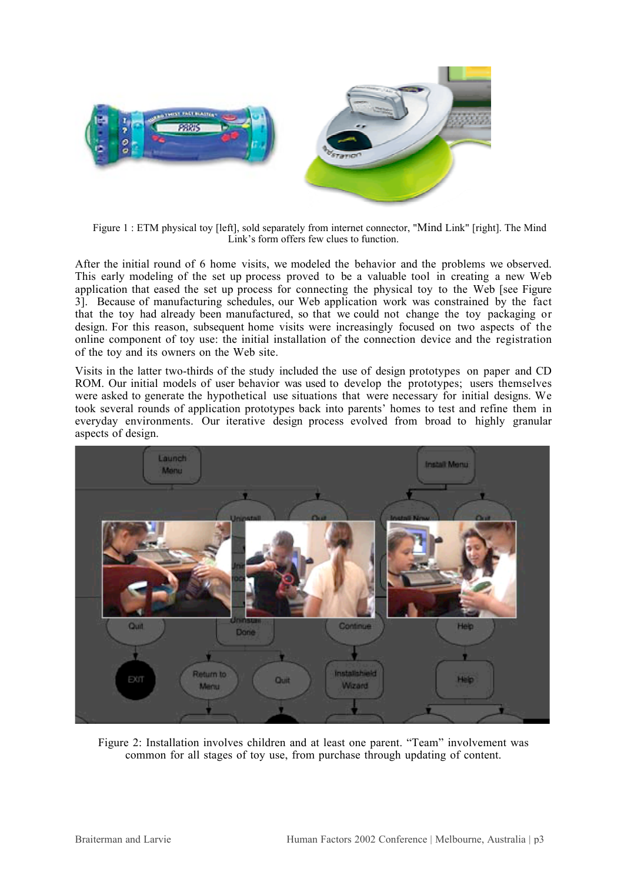

Figure 1 : ETM physical toy [left], sold separately from internet connector, "Mind Link" [right]. The Mind Link's form offers few clues to function.

After the initial round of 6 home visits, we modeled the behavior and the problems we observed. This early modeling of the set up process proved to be a valuable tool in creating a new Web application that eased the set up process for connecting the physical toy to the Web [see Figure 3]. Because of manufacturing schedules, our Web application work was constrained by the fact that the toy had already been manufactured, so that we could not change the toy packaging or design. For this reason, subsequent home visits were increasingly focused on two aspects of the online component of toy use: the initial installation of the connection device and the registration of the toy and its owners on the Web site.

Visits in the latter two-thirds of the study included the use of design prototypes on paper and CD ROM. Our initial models of user behavior was used to develop the prototypes; users themselves were asked to generate the hypothetical use situations that were necessary for initial designs. We took several rounds of application prototypes back into parents' homes to test and refine them in everyday environments. Our iterative design process evolved from broad to highly granular aspects of design.



Figure 2: Installation involves children and at least one parent. "Team" involvement was common for all stages of toy use, from purchase through updating of content.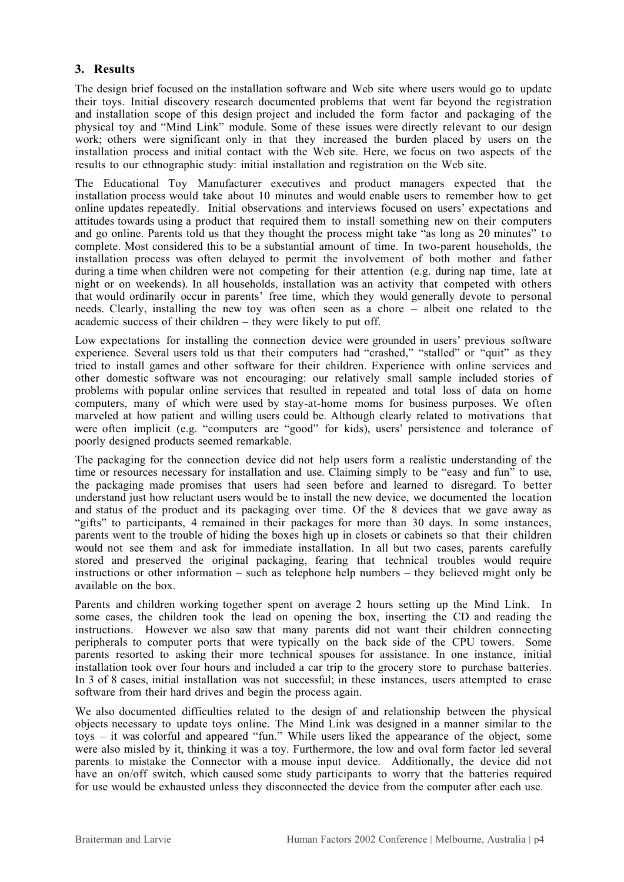## **3. Results**

The design brief focused on the installation software and Web site where users would go to update their toys. Initial discovery research documented problems that went far beyond the registration and installation scope of this design project and included the form factor and packaging of the physical toy and "Mind Link" module. Some of these issues were directly relevant to our design work; others were significant only in that they increased the burden placed by users on the installation process and initial contact with the Web site. Here, we focus on two aspects of the results to our ethnographic study: initial installation and registration on the Web site.

The Educational Toy Manufacturer executives and product managers expected that the installation process would take about 10 minutes and would enable users to remember how to get online updates repeatedly. Initial observations and interviews focused on users' expectations and attitudes towards using a product that required them to install something new on their computers and go online. Parents told us that they thought the process might take "as long as 20 minutes" to complete. Most considered this to be a substantial amount of time. In two-parent households, the installation process was often delayed to permit the involvement of both mother and father during a time when children were not competing for their attention (e.g. during nap time, late at night or on weekends). In all households, installation was an activity that competed with others that would ordinarily occur in parents' free time, which they would generally devote to personal needs. Clearly, installing the new toy was often seen as a chore – albeit one related to the academic success of their children – they were likely to put off.

Low expectations for installing the connection device were grounded in users' previous software experience. Several users told us that their computers had "crashed," "stalled" or "quit" as they tried to install games and other software for their children. Experience with online services and other domestic software was not encouraging: our relatively small sample included stories of problems with popular online services that resulted in repeated and total loss of data on home computers, many of which were used by stay-at-home moms for business purposes. We often marveled at how patient and willing users could be. Although clearly related to motivations that were often implicit (e.g. "computers are "good" for kids), users' persistence and tolerance of poorly designed products seemed remarkable.

The packaging for the connection device did not help users form a realistic understanding of the time or resources necessary for installation and use. Claiming simply to be "easy and fun" to use, the packaging made promises that users had seen before and learned to disregard. To better understand just how reluctant users would be to install the new device, we documented the location and status of the product and its packaging over time. Of the 8 devices that we gave away as "gifts" to participants, 4 remained in their packages for more than 30 days. In some instances, parents went to the trouble of hiding the boxes high up in closets or cabinets so that their children would not see them and ask for immediate installation. In all but two cases, parents carefully stored and preserved the original packaging, fearing that technical troubles would require instructions or other information – such as telephone help numbers – they believed might only be available on the box.

Parents and children working together spent on average 2 hours setting up the Mind Link. In some cases, the children took the lead on opening the box, inserting the CD and reading the instructions. However we also saw that many parents did not want their children connecting peripherals to computer ports that were typically on the back side of the CPU towers. Some parents resorted to asking their more technical spouses for assistance. In one instance, initial installation took over four hours and included a car trip to the grocery store to purchase batteries. In 3 of 8 cases, initial installation was not successful; in these instances, users attempted to erase software from their hard drives and begin the process again.

We also documented difficulties related to the design of and relationship between the physical objects necessary to update toys online. The Mind Link was designed in a manner similar to the toys – it was colorful and appeared "fun." While users liked the appearance of the object, some were also misled by it, thinking it was a toy. Furthermore, the low and oval form factor led several parents to mistake the Connector with a mouse input device. Additionally, the device did not have an on/off switch, which caused some study participants to worry that the batteries required for use would be exhausted unless they disconnected the device from the computer after each use.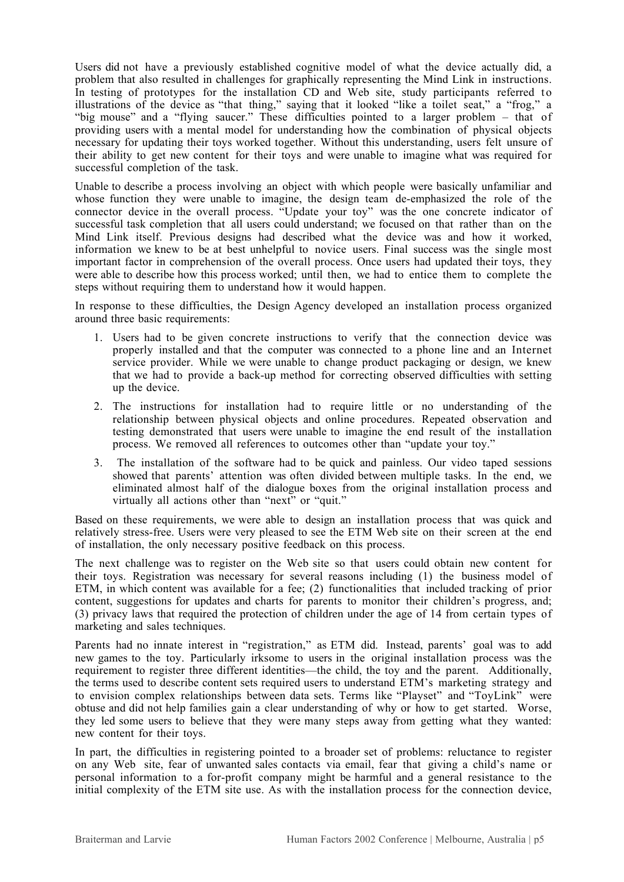Users did not have a previously established cognitive model of what the device actually did, a problem that also resulted in challenges for graphically representing the Mind Link in instructions. In testing of prototypes for the installation CD and Web site, study participants referred to illustrations of the device as "that thing," saying that it looked "like a toilet seat," a "frog," a "big mouse" and a "flying saucer." These difficulties pointed to a larger problem – that of providing users with a mental model for understanding how the combination of physical objects necessary for updating their toys worked together. Without this understanding, users felt unsure of their ability to get new content for their toys and were unable to imagine what was required for successful completion of the task.

Unable to describe a process involving an object with which people were basically unfamiliar and whose function they were unable to imagine, the design team de-emphasized the role of the connector device in the overall process. "Update your toy" was the one concrete indicator of successful task completion that all users could understand; we focused on that rather than on the Mind Link itself. Previous designs had described what the device was and how it worked, information we knew to be at best unhelpful to novice users. Final success was the single most important factor in comprehension of the overall process. Once users had updated their toys, they were able to describe how this process worked; until then, we had to entice them to complete the steps without requiring them to understand how it would happen.

In response to these difficulties, the Design Agency developed an installation process organized around three basic requirements:

- 1. Users had to be given concrete instructions to verify that the connection device was properly installed and that the computer was connected to a phone line and an Internet service provider. While we were unable to change product packaging or design, we knew that we had to provide a back-up method for correcting observed difficulties with setting up the device.
- 2. The instructions for installation had to require little or no understanding of the relationship between physical objects and online procedures. Repeated observation and testing demonstrated that users were unable to imagine the end result of the installation process. We removed all references to outcomes other than "update your toy."
- 3. The installation of the software had to be quick and painless. Our video taped sessions showed that parents' attention was often divided between multiple tasks. In the end, we eliminated almost half of the dialogue boxes from the original installation process and virtually all actions other than "next" or "quit."

Based on these requirements, we were able to design an installation process that was quick and relatively stress-free. Users were very pleased to see the ETM Web site on their screen at the end of installation, the only necessary positive feedback on this process.

The next challenge was to register on the Web site so that users could obtain new content for their toys. Registration was necessary for several reasons including (1) the business model of ETM, in which content was available for a fee; (2) functionalities that included tracking of prior content, suggestions for updates and charts for parents to monitor their children's progress, and; (3) privacy laws that required the protection of children under the age of 14 from certain types of marketing and sales techniques.

Parents had no innate interest in "registration," as ETM did. Instead, parents' goal was to add new games to the toy. Particularly irksome to users in the original installation process was the requirement to register three different identities—the child, the toy and the parent. Additionally, the terms used to describe content sets required users to understand ETM's marketing strategy and to envision complex relationships between data sets. Terms like "Playset" and "ToyLink" were obtuse and did not help families gain a clear understanding of why or how to get started. Worse, they led some users to believe that they were many steps away from getting what they wanted: new content for their toys.

In part, the difficulties in registering pointed to a broader set of problems: reluctance to register on any Web site, fear of unwanted sales contacts via email, fear that giving a child's name or personal information to a for-profit company might be harmful and a general resistance to the initial complexity of the ETM site use. As with the installation process for the connection device,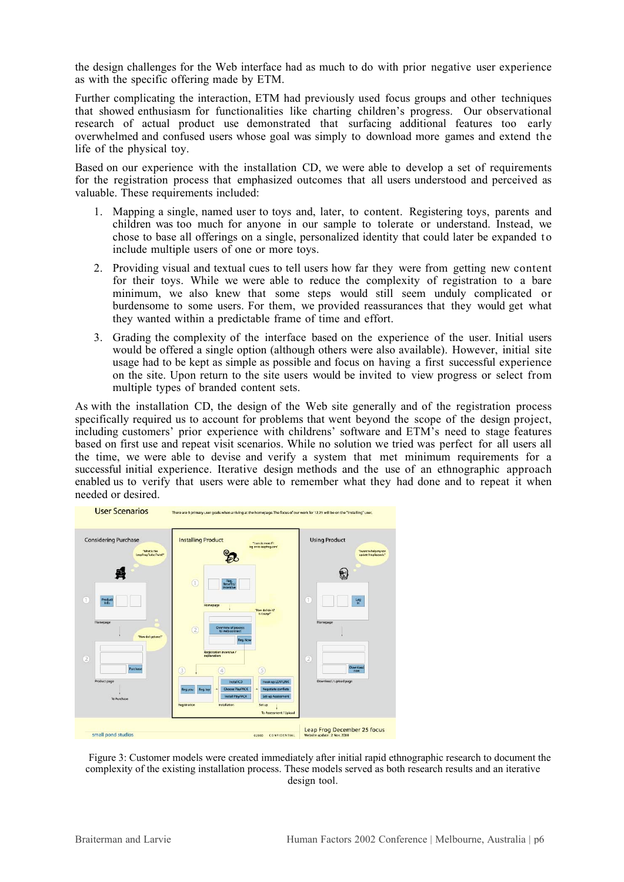the design challenges for the Web interface had as much to do with prior negative user experience as with the specific offering made by ETM.

Further complicating the interaction, ETM had previously used focus groups and other techniques that showed enthusiasm for functionalities like charting children's progress. Our observational research of actual product use demonstrated that surfacing additional features too early overwhelmed and confused users whose goal was simply to download more games and extend the life of the physical toy.

Based on our experience with the installation CD, we were able to develop a set of requirements for the registration process that emphasized outcomes that all users understood and perceived as valuable. These requirements included:

- 1. Mapping a single, named user to toys and, later, to content. Registering toys, parents and children was too much for anyone in our sample to tolerate or understand. Instead, we chose to base all offerings on a single, personalized identity that could later be expanded to include multiple users of one or more toys.
- 2. Providing visual and textual cues to tell users how far they were from getting new content for their toys. While we were able to reduce the complexity of registration to a bare minimum, we also knew that some steps would still seem unduly complicated or burdensome to some users. For them, we provided reassurances that they would get what they wanted within a predictable frame of time and effort.
- 3. Grading the complexity of the interface based on the experience of the user. Initial users would be offered a single option (although others were also available). However, initial site usage had to be kept as simple as possible and focus on having a first successful experience on the site. Upon return to the site users would be invited to view progress or select from multiple types of branded content sets.

As with the installation CD, the design of the Web site generally and of the registration process specifically required us to account for problems that went beyond the scope of the design project, including customers' prior experience with childrens' software and ETM's need to stage features based on first use and repeat visit scenarios. While no solution we tried was perfect for all users all the time, we were able to devise and verify a system that met minimum requirements for a successful initial experience. Iterative design methods and the use of an ethnographic approach enabled us to verify that users were able to remember what they had done and to repeat it when needed or desired.



Figure 3: Customer models were created immediately after initial rapid ethnographic research to document the complexity of the existing installation process. These models served as both research results and an iterative design tool.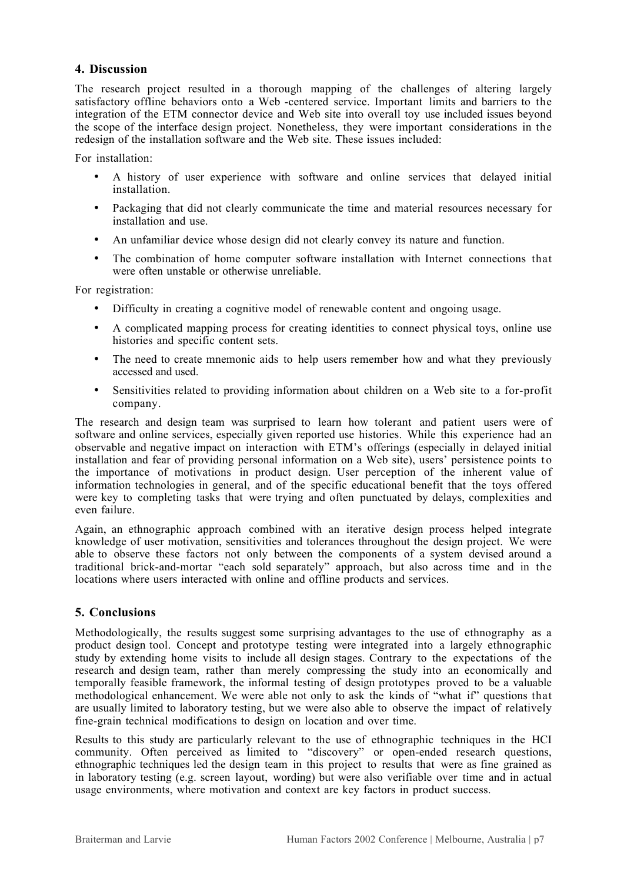### **4. Discussion**

The research project resulted in a thorough mapping of the challenges of altering largely satisfactory offline behaviors onto a Web -centered service. Important limits and barriers to the integration of the ETM connector device and Web site into overall toy use included issues beyond the scope of the interface design project. Nonetheless, they were important considerations in the redesign of the installation software and the Web site. These issues included:

For installation:

A history of user experience with software and online services that delayed initial installation.

Packaging that did not clearly communicate the time and material resources necessary for installation and use.

An unfamiliar device whose design did not clearly convey its nature and function.

The combination of home computer software installation with Internet connections that were often unstable or otherwise unreliable.

For registration:

Difficulty in creating a cognitive model of renewable content and ongoing usage.

A complicated mapping process for creating identities to connect physical toys, online use histories and specific content sets.

The need to create mnemonic aids to help users remember how and what they previously accessed and used.

Sensitivities related to providing information about children on a Web site to a for-profit company.

The research and design team was surprised to learn how tolerant and patient users were of software and online services, especially given reported use histories. While this experience had an observable and negative impact on interaction with ETM's offerings (especially in delayed initial installation and fear of providing personal information on a Web site), users' persistence points to the importance of motivations in product design. User perception of the inherent value of information technologies in general, and of the specific educational benefit that the toys offered were key to completing tasks that were trying and often punctuated by delays, complexities and even failure.

Again, an ethnographic approach combined with an iterative design process helped integrate knowledge of user motivation, sensitivities and tolerances throughout the design project. We were able to observe these factors not only between the components of a system devised around a traditional brick-and-mortar "each sold separately" approach, but also across time and in the locations where users interacted with online and offline products and services.

## **5. Conclusions**

Methodologically, the results suggest some surprising advantages to the use of ethnography as a product design tool. Concept and prototype testing were integrated into a largely ethnographic study by extending home visits to include all design stages. Contrary to the expectations of the research and design team, rather than merely compressing the study into an economically and temporally feasible framework, the informal testing of design prototypes proved to be a valuable methodological enhancement. We were able not only to ask the kinds of "what if" questions that are usually limited to laboratory testing, but we were also able to observe the impact of relatively fine-grain technical modifications to design on location and over time.

Results to this study are particularly relevant to the use of ethnographic techniques in the HCI community. Often perceived as limited to "discovery" or open-ended research questions, ethnographic techniques led the design team in this project to results that were as fine grained as in laboratory testing (e.g. screen layout, wording) but were also verifiable over time and in actual usage environments, where motivation and context are key factors in product success.